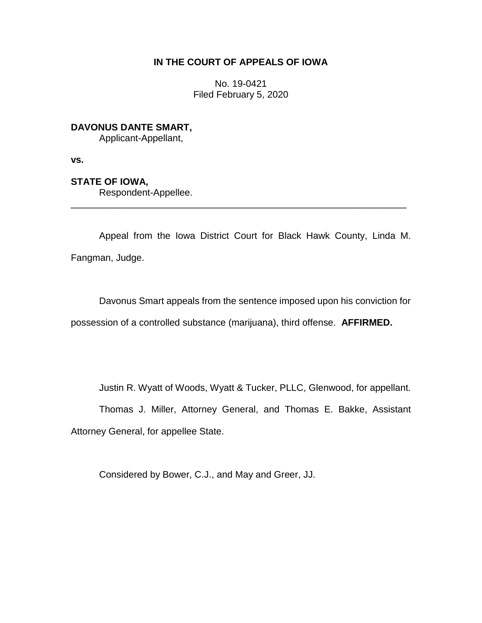### **IN THE COURT OF APPEALS OF IOWA**

No. 19-0421 Filed February 5, 2020

# **DAVONUS DANTE SMART,**

Applicant-Appellant,

**vs.**

## **STATE OF IOWA,**

Respondent-Appellee.

Appeal from the Iowa District Court for Black Hawk County, Linda M. Fangman, Judge.

\_\_\_\_\_\_\_\_\_\_\_\_\_\_\_\_\_\_\_\_\_\_\_\_\_\_\_\_\_\_\_\_\_\_\_\_\_\_\_\_\_\_\_\_\_\_\_\_\_\_\_\_\_\_\_\_\_\_\_\_\_\_\_\_

Davonus Smart appeals from the sentence imposed upon his conviction for possession of a controlled substance (marijuana), third offense. **AFFIRMED.**

Justin R. Wyatt of Woods, Wyatt & Tucker, PLLC, Glenwood, for appellant.

Thomas J. Miller, Attorney General, and Thomas E. Bakke, Assistant Attorney General, for appellee State.

Considered by Bower, C.J., and May and Greer, JJ.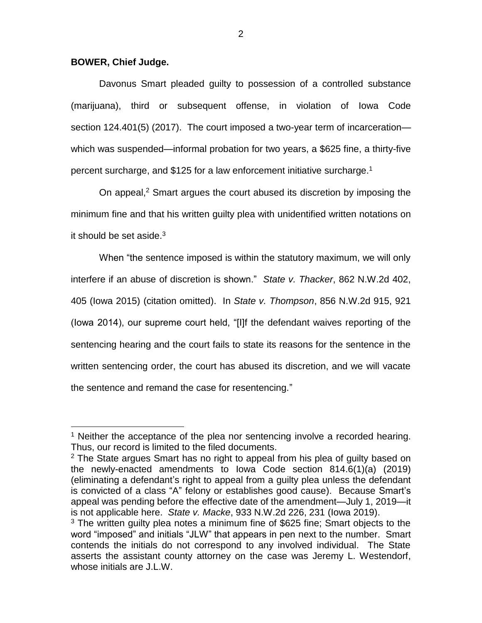#### **BOWER, Chief Judge.**

 $\overline{a}$ 

Davonus Smart pleaded guilty to possession of a controlled substance (marijuana), third or subsequent offense, in violation of Iowa Code section 124.401(5) (2017). The court imposed a two-year term of incarceration which was suspended—informal probation for two years, a \$625 fine, a thirty-five percent surcharge, and \$125 for a law enforcement initiative surcharge.<sup>1</sup>

On appeal, $<sup>2</sup>$  Smart argues the court abused its discretion by imposing the</sup> minimum fine and that his written guilty plea with unidentified written notations on it should be set aside. $3$ 

When "the sentence imposed is within the statutory maximum, we will only interfere if an abuse of discretion is shown." *State v. Thacker*, 862 N.W.2d 402, 405 (Iowa 2015) (citation omitted). In *State v. Thompson*, 856 N.W.2d 915, 921 (Iowa 2014), our supreme court held, "[I]f the defendant waives reporting of the sentencing hearing and the court fails to state its reasons for the sentence in the written sentencing order, the court has abused its discretion, and we will vacate the sentence and remand the case for resentencing."

<sup>&</sup>lt;sup>1</sup> Neither the acceptance of the plea nor sentencing involve a recorded hearing. Thus, our record is limited to the filed documents.

 $2$  The State argues Smart has no right to appeal from his plea of guilty based on the newly-enacted amendments to Iowa Code section 814.6(1)(a) (2019) (eliminating a defendant's right to appeal from a guilty plea unless the defendant is convicted of a class "A" felony or establishes good cause). Because Smart's appeal was pending before the effective date of the amendment—July 1, 2019—it is not applicable here. *State v. Macke*, 933 N.W.2d 226, 231 (Iowa 2019).

<sup>&</sup>lt;sup>3</sup> The written guilty plea notes a minimum fine of \$625 fine; Smart objects to the word "imposed" and initials "JLW" that appears in pen next to the number. Smart contends the initials do not correspond to any involved individual. The State asserts the assistant county attorney on the case was Jeremy L. Westendorf, whose initials are J.L.W.